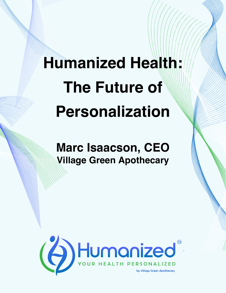## **Humanized Health: The Future of Personalization**

**Marc Isaacson, CEO Village Green Apothecary**

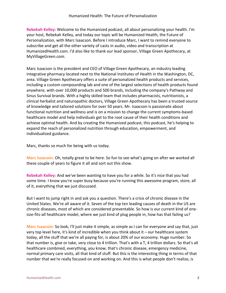**Rebekah Kelley:** Welcome to the Humanized podcast, all about personalizing your health. I'm your host, Rebekah Kelley, and today our topic will be Humanized Health, the Future of Personalization, with Marc Isaacson. Before I introduce Marc, I want to remind everyone to subscribe and get all the other variety of casts in audio, video and transcription at HumanizedHealth.com. I'd also like to thank our lead sponsor, Village Green Apothecary, at MyVillageGreen.com.

Marc Isaacson is the president and CEO of Village Green Apothecary, an industry leading integrative pharmacy located next to the National Institutes of Health in the Washington, DC, area. Village Green Apothecary offers a suite of personalized health products and services, including a custom compounding lab and one of the largest selections of health products found anywhere, with over 10,000 products and 500 brands, including the company's Pathway and Sinus Survival brands. With a highly skilled team that includes pharmacists, nutritionists, a clinical herbalist and naturopathic doctors, Village Green Apothecary has been a trusted source of knowledge and tailored solutions for over 50 years. Mr. Isaacson is passionate about functional nutrition and wellness and is on a mission to change the current symptoms-based healthcare model and help individuals get to the root cause of their health conditions and achieve optimal health. And by creating the Humanized podcast, this podcast, he's helping to expand the reach of personalized nutrition through education, empowerment, and individualized guidance.

Marc, thanks so much for being with us today.

**Marc Isaacson:** Oh, totally great to be here. So fun to see what's going on after we worked all these couple of years to figure it all and sort out this show.

**Rebekah Kelley:** And we've been wanting to have you for a while. So it's nice that you had some time. I know you're super busy because you're running this awesome program, store, all of it, everything that we just discussed.

But I want to jump right in and ask you a question. There's a crisis of chronic disease in the United States. We're all aware of it. Seven of the top ten leading causes of death in the US are chronic diseases, most of which are considered preventable. So how is our current kind of onesize-fits-all healthcare model, where we just kind of plug people in, how has that failing us?

**Marc Isaacson:** So look, I'll just make it simple, as simple as I can for everyone and say that, just very top level here, it's kind of incredible when you think about it – our healthcare system today, all the stuff that we're all paying for, is about 20% of our economy. Huge number. So that number is, give or take, very close to 4 trillion. That's with a T, 4 trillion dollars. So that's all healthcare combined, everything, you know, that's chronic disease, emergency medicine, normal primary care visits, all that kind of stuff. But this is the interesting thing in terms of that number that we're really focused on and working on. And this is what people don't realize, is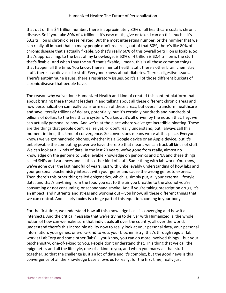that out of this \$4 trillion number, there is approximately 80% of all healthcare costs is chronic disease. So if you take 80% of 4 trillion – it's easy math, give or take, I can do this much – it's \$3.2 trillion is chronic disease related. But the most interesting number, or the number that we can really all impact that so many people don't realize is, out of that 80%, there's like 80% of chronic disease that's actually fixable. So that's really 60% of this overall \$4 trillion is fixable. So that's approaching, to the best of my knowledge, is 60% of 4 trillion is \$2.4 trillion is the stuff that's fixable. And when I say the stuff that's fixable, I mean, this is all these common things that happen all the time. You know, there's mental health stuff, there's other brain chemistry stuff, there's cardiovascular stuff. Everyone knows about diabetes. There's digestive issues. There's autoimmune issues, there's respiratory issues. So it's all of those different buckets of chronic disease that people have.

The reason why we've done Humanized Health and kind of created this content platform that is about bringing these thought leaders in and talking about all these different chronic areas and how personalization can really transform each of these areas, but overall transform healthcare and save literally trillions of dollars, potentially, but it's certainly hundreds and hundreds of billions of dollars to the healthcare system. You know, it's all driven by the notion that, hey, we can actually personalize now. And we're at the place where we've got incredible bloating. These are the things that people don't realize yet, or don't really understand, but I always call this moment in time, this time of convergence. So conversions means we're at this place. Everyone knows we've got handheld phones, whether it's a Google device or an Apple device, but it's unbelievable the computing power we have there. So that means we can track all kinds of stuff. We can look at all kinds of data. In the last 20 years, we've gone from really, almost no knowledge on the genome to unbelievable knowledge on genomics and DNA and these things called SNPs and variances and all this other kind of stuff. Same thing with lab work. You know, we've gone over the last handful of years, just with unbelievably understanding of how labs and your personal biochemistry interact with your genes and cause the wrong genes to express. Then there's this other thing called epigenetics, which is, simply put, all your external lifestyle data, and that's anything from the food you eat to the air you breathe to the alcohol you're consuming or not consuming, or secondhand smoke. And if you're taking prescription drugs, it's an impact, and nutrients and stress and working out - you know, all these different things that we can control. And clearly toxins is a huge part of this equation, coming in your body.

For the first time, we understand how all this knowledge base is converging and how it all intersects. And the critical message that we're trying to deliver with Humanized is, the whole notion of how can we make sure that individuals all over the country, all over the world, understand there's this incredible ability now to really look at your personal data, your personal information, your genes, one-of-a-kind to you, your biochemistry, that's through regular lab work at LabCorp and some other [labs] – you know, you can do more involved things – but your biochemistry, one-of-a-kind to you. People don't understand that. This thing that we call the epigenetics and all the lifestyle, one-of-a-kind to you, and when you marry all that stuff together, so that the challenge is, it's a lot of data and it's complex, but the good news is this convergence of all the knowledge base allows us to really, for the first time, really just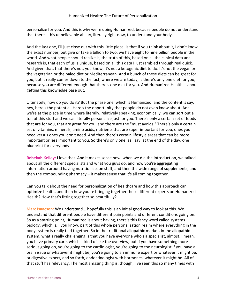personalize for you. And this is why we're doing Humanized, because people do not understand that there's this unbelievable ability, literally right now, to understand your body.

And the last one, I'll just close out with this little piece, is that if you think about it, I don't know the exact number, but give or take a billion to two, we have eight to nine billion people in the world. And what people should realize is, the truth of this, based on all the clinical data and research is, that each of us is unique, based on all this data I just rambled through real quick. And given that, that there's not, you know, it's not a ketogenic diet to do. It's not the vegan or the vegetarian or the paleo diet or Mediterranean. And a bunch of these diets can be great for you, but it really comes down to the fact, where we are today, is there's only one diet for you, because you are different enough that there's one diet for you. And Humanized Health is about getting this knowledge base out.

Ultimately, how do you do it? But the phase one, which is Humanized, and the content is say, hey, here's the potential. Here's the opportunity that people do not even know about. And we're at the place in time where literally, relatively speaking, economically, we can sort out a ton of this stuff and we can literally personalize just for you. There's only a certain set of foods that are for you, that are great for you, and there are the "must avoids." There's only a certain set of vitamins, minerals, amino acids, nutrients that are super important for you, ones you need versus ones you don't need. And then there's certain lifestyle areas that can be more important or less important to you. So there's only one, as I say, at the end of the day, one blueprint for everybody.

**Rebekah Kelley:** I love that. And it makes sense how, when we did the introduction, we talked about all the different specialists and what you guys do, and how you're aggregating information around having nutritionists on staff, and then the wide range of supplements, and then the compounding pharmacy – it makes sense that it's all coming together.

Can you talk about the need for personalization of healthcare and how this approach can optimize health, and then how you're bringing together these different experts on Humanized Health? How that's fitting together so beautifully?

**Marc Isaacson:** We understand... hopefully this is an initial good way to look at this. We understand that different people have different pain points and different conditions going on. So as a starting point, Humanized is about having, there's this fancy word called systems biology, which is... you know, part of this whole personalization realm where everything in the body system is really tied together. So in the traditional allopathic market, in the allopathic system, what's really challenging is that you have everyone who's a specialist, almost. I mean, you have primary care, which is kind of like the overview, but if you have something more serious going on, you're going to the cardiologist, you're going to the neurologist if you have a brain issue or whatever it might be, you're going to an immune expert or whatever it might be, or digestive expert, and so forth, endocrinologist with hormones, whatever it might be. All of that stuff has relevancy. The most amazing thing is, though, I've seen this so many times with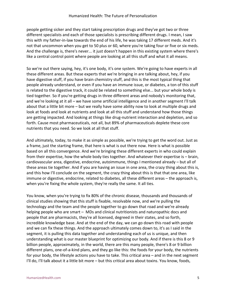people getting sicker and they start taking prescription drugs and they've got two or three different specialists and each of those specialists is prescribing different drugs. I mean, I saw this with my father-in-law towards the end of his life, he was taking 17 different meds. And it's not that uncommon when you get to 50 plus or 60, where you're taking four or five or six meds. And the challenge is, there's never... it just doesn't happen in this existing system where there's like a central control point where people are looking at all this stuff and what it all means.

So we're out there saying, hey, it's one body, it's one system. We're going to have experts in all these different areas. But these experts that we're bringing in are talking about, hey, if you have digestive stuff, if you have brain chemistry stuff, and this is the most typical thing that people already understand, or even if you have an immune issue, or diabetes, a ton of this stuff is related to the digestive track, it could be related to something else... but your whole body is tied together. So if you're getting drugs in three different areas and nobody's monitoring that, and we're looking at it all – we have some artificial intelligence and in another segment I'll talk about that a little bit more – but we really have some ability now to look at multiple drugs and look at foods and look at nutrients and look at all this stuff and understand how those things are getting impacted. And looking at things like drug-nutrient interaction and depletion, and so forth. Cause most pharmaceuticals, not all, but 89% of pharmaceuticals deplete these core nutrients that you need. So we look at all that stuff.

And ultimately, today, to make it as simple as possible, we're trying to get the word out. Just as a frame, just the starting frame, that here is what is out there now. Here is what is possible based on all this convergence. And we're bringing these different experts in who could explain from their expertise, how the whole body ties together. And whatever their expertise is – brain, cardiovascular area, digestive, endocrine, autoimmune, things I mentioned already – but all of these areas tie together. And if you are having an issue in one area, the crazy thing about this is, and this how I'll conclude on the segment, the crazy thing about this is that that one area, like immune or digestive, endocrine, related to diabetes, all these different areas – the approach is, when you're fixing the whole system, they're really the same. It all ties.

You know, when you're trying to fix 80% of the chronic disease, thousands and thousands of clinical studies showing that this stuff is fixable, resolvable now, and we're pulling the technology and the team and the people together to go down that road and we're already helping people who are smart - MDs and clinical nutritionists and naturopathic docs and people that are pharmacists, they're all licensed, degreed in their states, and so forth, incredible knowledge base. And at the end of the day, we can go down this road with people and we can fix these things. And the approach ultimately comes down to, it's as I said in the segment, it is pulling this data together and understanding each of us is unique, and then understanding what is our master blueprint for optimizing our body. And if there is this 8 or 9 billion people, approximately, in the world, there are this many people, there's 8 or 9 billion different plans, one-of-a-kind plans, and they go like this: the foods for your body, the nutrients for your body, the lifestyle actions you have to take. This critical area – and in the next segment I'll do, I'll talk about it a little bit more – but this critical area about toxins. You know, foods,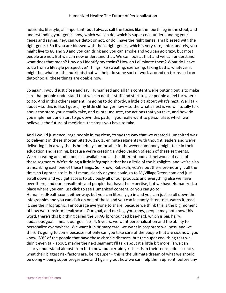## Humanized Health: The Future of Personalization

nutrients, lifestyle, all important, but I always call the toxins like the fourth leg in the stool, and understanding your genes now, which we can do, which is super cool, understanding your genes and saying, hey, can we detox or not, or do I have the right genes, am I blessed with the right genes? So if you are blessed with those right genes, which is very rare, unfortunately, you might live to 80 and 90 and you can drink and you can smoke and you can go crazy, but most people are not. But we can now understand that. We can look at that and we can understand what does that mean? How do I identify my toxins? How do I eliminate them? What do I have to do from a lifestyle perspective? Things like sweating, exercising, taking baths, whatever it might be, what are the nutrients that will help do some sort of work-around on toxins so I can detox? So all these things are doable now.

So again, I would just close and say, Humanized and all this content we're putting out is to make sure that people understand that we can do this stuff and start to give people a feel for where to go. And in this other segment I'm going to do shortly, a little bit about what's next. We'll talk about – so this is like, I guess, my little cliffhanger now – so the what's next is we will totally talk about the steps you actually take, and quote unquote, the actions that you take, and how do you implement and start to go down this path, if you really want to personalize, which we believe is the future of medicine, the steps you have to take.

And I would just encourage people in my close, to say the way that we created Humanized was to deliver it in these shorter bits 10-, 12-, 15-minute segments with thought leaders and we're delivering it in a way that is hopefully comfortable for however somebody might take in their education and learning, because we're creating a video version of each of these segments. We're creating an audio podcast available on all the different podcast networks of each of these segments. We're doing a little infographic that has a little of the highlights, and we're also transcribing each one of these things. So I know, Rebekah, you're out there promoting it all the time, so I appreciate it, but I mean, clearly anyone could go to MyVillageGreen.com and just scroll down and you get access to obviously all of our products and everything else we have over there, and our consultants and people that have the expertise, but we have Humanized, a place where you can just click to see Humanized content, or you can go to HumanizedHealth.com, either way, but you can literally go in and you can just scroll down the infographics and you can click on one of those and you can instantly listen to it, watch it, read it, see the infographic. I encourage everyone to share, because we think this is the big moment of how we transform healthcare. Our goal, and our big, you know, people may not know this word, there's this big thing called the BHAG [pronounced bee-hag], which is big, hairy, audacious goal. I mean, our goal is 3, 4, 5 years, we want personalization and the ability to personalize everywhere. We want it in primary care, we want in corporate wellness, and we think it's going to come because not only can you take care of the people that are sick now, you know, 80% of the people that have these chronic diseases, but the super cool thing that we didn't even talk about, maybe the next segment I'll talk about it a little bit more, is we can clearly understand almost from birth now, but certainly kids, kids in their teens, adolescence, what their biggest risk factors are, being super – this is the ultimate dream of what we should be doing – being super progressive and figuring out how we can help them upfront, before any